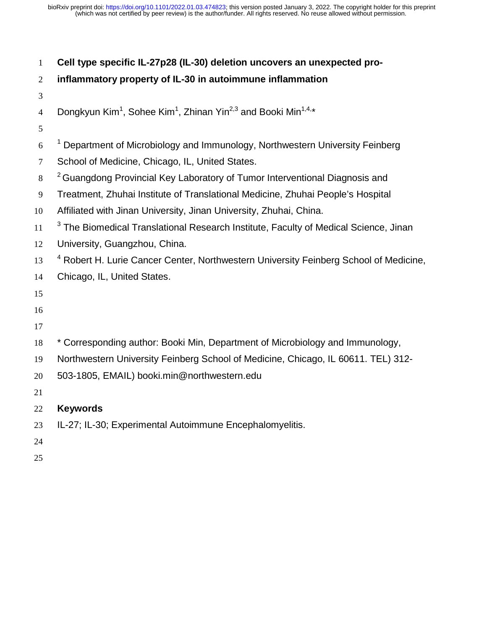| $\mathbf{1}$   | Cell type specific IL-27p28 (IL-30) deletion uncovers an unexpected pro-                                      |
|----------------|---------------------------------------------------------------------------------------------------------------|
| $\overline{2}$ | inflammatory property of IL-30 in autoimmune inflammation                                                     |
| 3              |                                                                                                               |
| $\overline{4}$ | Dongkyun Kim <sup>1</sup> , Sohee Kim <sup>1</sup> , Zhinan Yin <sup>2,3</sup> and Booki Min <sup>1,4,*</sup> |
| 5              |                                                                                                               |
| 6              | <sup>1</sup> Department of Microbiology and Immunology, Northwestern University Feinberg                      |
| $\tau$         | School of Medicine, Chicago, IL, United States.                                                               |
| 8              | <sup>2</sup> Guangdong Provincial Key Laboratory of Tumor Interventional Diagnosis and                        |
| 9              | Treatment, Zhuhai Institute of Translational Medicine, Zhuhai People's Hospital                               |
| 10             | Affiliated with Jinan University, Jinan University, Zhuhai, China.                                            |
| 11             | <sup>3</sup> The Biomedical Translational Research Institute, Faculty of Medical Science, Jinan               |
| 12             | University, Guangzhou, China.                                                                                 |
| 13             | <sup>4</sup> Robert H. Lurie Cancer Center, Northwestern University Feinberg School of Medicine,              |
| 14             | Chicago, IL, United States.                                                                                   |
| 15             |                                                                                                               |
| 16             |                                                                                                               |
| 17             |                                                                                                               |
| 18             | * Corresponding author: Booki Min, Department of Microbiology and Immunology,                                 |
| 19             | Northwestern University Feinberg School of Medicine, Chicago, IL 60611. TEL) 312-                             |
| 20             | 503-1805, EMAIL) booki.min@northwestern.edu                                                                   |
| 21             |                                                                                                               |
| 22             | <b>Keywords</b>                                                                                               |
| 23             | IL-27; IL-30; Experimental Autoimmune Encephalomyelitis.                                                      |
| 24             |                                                                                                               |
| 25             |                                                                                                               |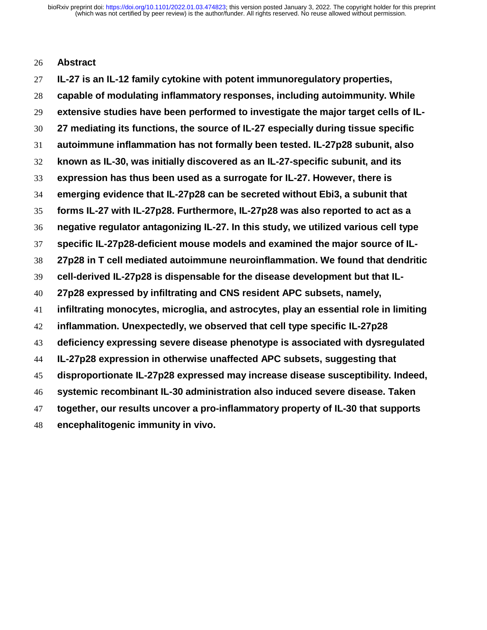#### **Abstract**

**IL-27 is an IL-12 family cytokine with potent immunoregulatory properties, capable of modulating inflammatory responses, including autoimmunity. While extensive studies have been performed to investigate the major target cells of IL-27 mediating its functions, the source of IL-27 especially during tissue specific autoimmune inflammation has not formally been tested. IL-27p28 subunit, also known as IL-30, was initially discovered as an IL-27-specific subunit, and its expression has thus been used as a surrogate for IL-27. However, there is emerging evidence that IL-27p28 can be secreted without Ebi3, a subunit that forms IL-27 with IL-27p28. Furthermore, IL-27p28 was also reported to act as a negative regulator antagonizing IL-27. In this study, we utilized various cell type specific IL-27p28-deficient mouse models and examined the major source of IL-27p28 in T cell mediated autoimmune neuroinflammation. We found that dendritic cell-derived IL-27p28 is dispensable for the disease development but that IL-27p28 expressed by infiltrating and CNS resident APC subsets, namely, infiltrating monocytes, microglia, and astrocytes, play an essential role in limiting inflammation. Unexpectedly, we observed that cell type specific IL-27p28 deficiency expressing severe disease phenotype is associated with dysregulated IL-27p28 expression in otherwise unaffected APC subsets, suggesting that disproportionate IL-27p28 expressed may increase disease susceptibility. Indeed, systemic recombinant IL-30 administration also induced severe disease. Taken together, our results uncover a pro-inflammatory property of IL-30 that supports encephalitogenic immunity in vivo.**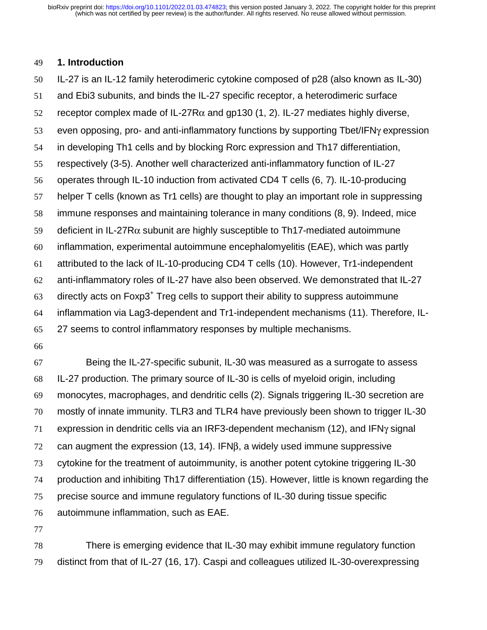#### **1. Introduction**

IL-27 is an IL-12 family heterodimeric cytokine composed of p28 (also known as IL-30)

and Ebi3 subunits, and binds the IL-27 specific receptor, a heterodimeric surface

52 receptor complex made of IL-27R $\alpha$  and gp130 (1, 2). IL-27 mediates highly diverse,

even opposing, pro- and anti-inflammatory functions by supporting Tbet/IFNγ expression

in developing Th1 cells and by blocking Rorc expression and Th17 differentiation,

respectively (3-5). Another well characterized anti-inflammatory function of IL-27

operates through IL-10 induction from activated CD4 T cells (6, 7). IL-10-producing

helper T cells (known as Tr1 cells) are thought to play an important role in suppressing

immune responses and maintaining tolerance in many conditions (8, 9). Indeed, mice

59 deficient in IL-27R $\alpha$  subunit are highly susceptible to Th17-mediated autoimmune

inflammation, experimental autoimmune encephalomyelitis (EAE), which was partly

attributed to the lack of IL-10-producing CD4 T cells (10). However, Tr1-independent

anti-inflammatory roles of IL-27 have also been observed. We demonstrated that IL-27

directly acts on Foxp3<sup>+</sup> Treg cells to support their ability to suppress autoimmune

inflammation via Lag3-dependent and Tr1-independent mechanisms (11). Therefore, IL-

27 seems to control inflammatory responses by multiple mechanisms.

Being the IL-27-specific subunit, IL-30 was measured as a surrogate to assess IL-27 production. The primary source of IL-30 is cells of myeloid origin, including monocytes, macrophages, and dendritic cells (2). Signals triggering IL-30 secretion are mostly of innate immunity. TLR3 and TLR4 have previously been shown to trigger IL-30 expression in dendritic cells via an IRF3-dependent mechanism (12), and IFNγ signal can augment the expression (13, 14). IFNβ, a widely used immune suppressive cytokine for the treatment of autoimmunity, is another potent cytokine triggering IL-30 production and inhibiting Th17 differentiation (15). However, little is known regarding the precise source and immune regulatory functions of IL-30 during tissue specific autoimmune inflammation, such as EAE.

There is emerging evidence that IL-30 may exhibit immune regulatory function distinct from that of IL-27 (16, 17). Caspi and colleagues utilized IL-30-overexpressing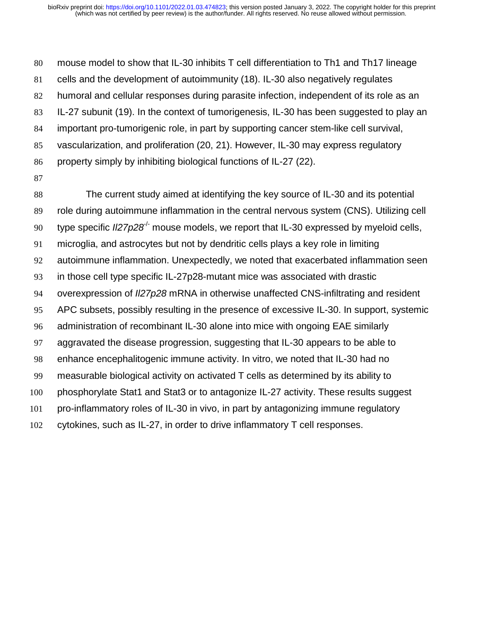mouse model to show that IL-30 inhibits T cell differentiation to Th1 and Th17 lineage cells and the development of autoimmunity (18). IL-30 also negatively regulates humoral and cellular responses during parasite infection, independent of its role as an IL-27 subunit (19). In the context of tumorigenesis, IL-30 has been suggested to play an important pro-tumorigenic role, in part by supporting cancer stem-like cell survival, vascularization, and proliferation (20, 21). However, IL-30 may express regulatory property simply by inhibiting biological functions of IL-27 (22). 

The current study aimed at identifying the key source of IL-30 and its potential role during autoimmune inflammation in the central nervous system (CNS). Utilizing cell 90 type specific  $I$ /27 $p$ 2 $8^{-/-}$  mouse models, we report that IL-30 expressed by myeloid cells, microglia, and astrocytes but not by dendritic cells plays a key role in limiting autoimmune inflammation. Unexpectedly, we noted that exacerbated inflammation seen in those cell type specific IL-27p28-mutant mice was associated with drastic overexpression of *Il27p28* mRNA in otherwise unaffected CNS-infiltrating and resident APC subsets, possibly resulting in the presence of excessive IL-30. In support, systemic administration of recombinant IL-30 alone into mice with ongoing EAE similarly aggravated the disease progression, suggesting that IL-30 appears to be able to enhance encephalitogenic immune activity. In vitro, we noted that IL-30 had no measurable biological activity on activated T cells as determined by its ability to phosphorylate Stat1 and Stat3 or to antagonize IL-27 activity. These results suggest pro-inflammatory roles of IL-30 in vivo, in part by antagonizing immune regulatory cytokines, such as IL-27, in order to drive inflammatory T cell responses.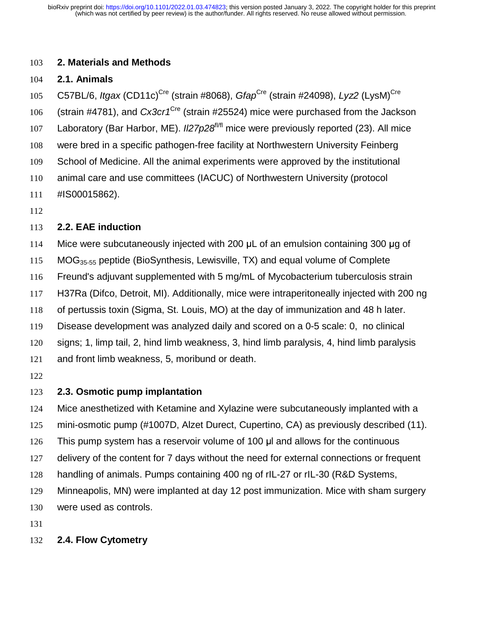### **2. Materials and Methods**

### **2.1. Animals**

105 C57BL/6, *Itgax* (CD11c)<sup>Cre</sup> (strain #8068), *Gfap<sup>Cre</sup>* (strain #24098), *Lyz2* (LysM)<sup>Cre</sup> 106 (strain #4781), and *Cx3cr1<sup>Cre</sup>* (strain #25524) mice were purchased from the Jackson 107 Laboratory (Bar Harbor, ME). *II27p28<sup>f/fl</sup>* mice were previously reported (23). All mice were bred in a specific pathogen-free facility at Northwestern University Feinberg School of Medicine. All the animal experiments were approved by the institutional animal care and use committees (IACUC) of Northwestern University (protocol #IS00015862).

## **2.2. EAE induction**

Mice were subcutaneously injected with 200 μL of an emulsion containing 300 μg of

115 MOG<sub>35-55</sub> peptide (BioSynthesis, Lewisville, TX) and equal volume of Complete

Freund's adjuvant supplemented with 5 mg/mL of Mycobacterium tuberculosis strain

H37Ra (Difco, Detroit, MI). Additionally, mice were intraperitoneally injected with 200 ng

of pertussis toxin (Sigma, St. Louis, MO) at the day of immunization and 48 h later.

Disease development was analyzed daily and scored on a 0-5 scale: 0, no clinical

signs; 1, limp tail, 2, hind limb weakness, 3, hind limb paralysis, 4, hind limb paralysis

and front limb weakness, 5, moribund or death.

# **2.3. Osmotic pump implantation**

Mice anesthetized with Ketamine and Xylazine were subcutaneously implanted with a

mini-osmotic pump (#1007D, Alzet Durect, Cupertino, CA) as previously described (11).

126 This pump system has a reservoir volume of 100  $\mu$ l and allows for the continuous

delivery of the content for 7 days without the need for external connections or frequent

handling of animals. Pumps containing 400 ng of rIL-27 or rIL-30 (R&D Systems,

Minneapolis, MN) were implanted at day 12 post immunization. Mice with sham surgery

were used as controls.

# **2.4. Flow Cytometry**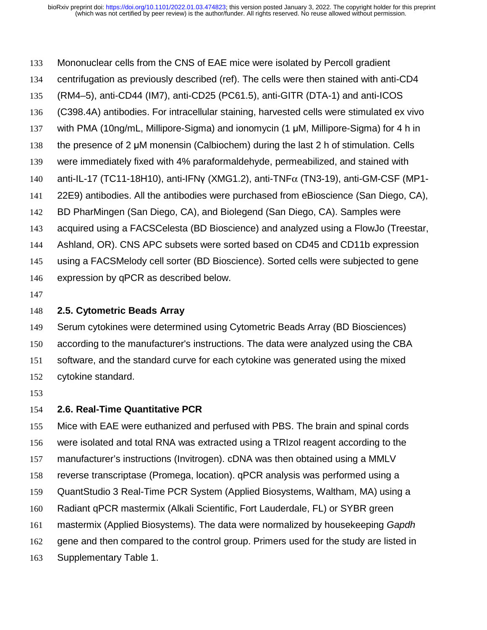Mononuclear cells from the CNS of EAE mice were isolated by Percoll gradient centrifugation as previously described (ref). The cells were then stained with anti-CD4 (RM4–5), anti-CD44 (IM7), anti-CD25 (PC61.5), anti-GITR (DTA-1) and anti-ICOS (C398.4A) antibodies. For intracellular staining, harvested cells were stimulated ex vivo 137 with PMA (10ng/mL, Millipore-Sigma) and ionomycin (1 μM, Millipore-Sigma) for 4 h in 138 the presence of 2  $\mu$ M monensin (Calbiochem) during the last 2 h of stimulation. Cells were immediately fixed with 4% paraformaldehyde, permeabilized, and stained with 140 anti-IL-17 (TC11-18H10), anti-IFNγ (XMG1.2), anti-TNF $\alpha$  (TN3-19), anti-GM-CSF (MP1-22E9) antibodies. All the antibodies were purchased from eBioscience (San Diego, CA), BD PharMingen (San Diego, CA), and Biolegend (San Diego, CA). Samples were acquired using a FACSCelesta (BD Bioscience) and analyzed using a FlowJo (Treestar, Ashland, OR). CNS APC subsets were sorted based on CD45 and CD11b expression using a FACSMelody cell sorter (BD Bioscience). Sorted cells were subjected to gene expression by qPCR as described below.

### **2.5. Cytometric Beads Array**

Serum cytokines were determined using Cytometric Beads Array (BD Biosciences) according to the manufacturer's instructions. The data were analyzed using the CBA software, and the standard curve for each cytokine was generated using the mixed cytokine standard.

#### **2.6. Real-Time Quantitative PCR**

Mice with EAE were euthanized and perfused with PBS. The brain and spinal cords were isolated and total RNA was extracted using a TRIzol reagent according to the manufacturer's instructions (Invitrogen). cDNA was then obtained using a MMLV reverse transcriptase (Promega, location). qPCR analysis was performed using a QuantStudio 3 Real-Time PCR System (Applied Biosystems, Waltham, MA) using a Radiant qPCR mastermix (Alkali Scientific, Fort Lauderdale, FL) or SYBR green mastermix (Applied Biosystems). The data were normalized by housekeeping *Gapdh* gene and then compared to the control group. Primers used for the study are listed in Supplementary Table 1.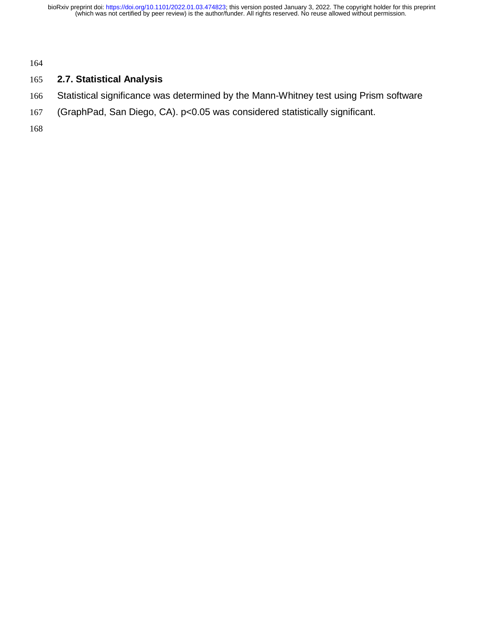## **2.7. Statistical Analysis**

- Statistical significance was determined by the Mann-Whitney test using Prism software
- (GraphPad, San Diego, CA). p<0.05 was considered statistically significant.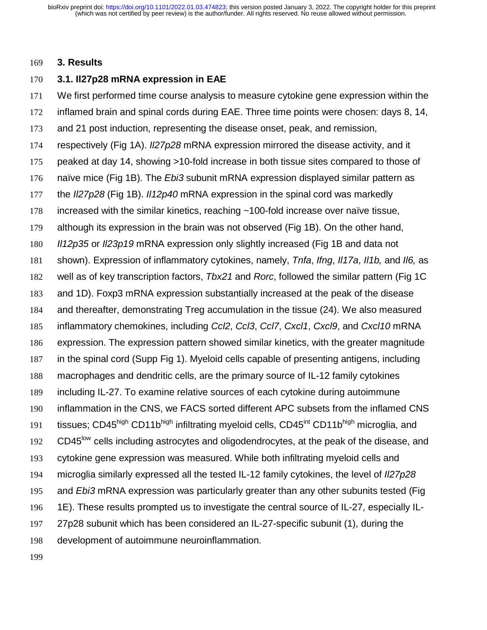#### **3. Results**

### **3.1. Il27p28 mRNA expression in EAE**

We first performed time course analysis to measure cytokine gene expression within the inflamed brain and spinal cords during EAE. Three time points were chosen: days 8, 14, and 21 post induction, representing the disease onset, peak, and remission, respectively (Fig 1A). *Il27p28* mRNA expression mirrored the disease activity, and it peaked at day 14, showing >10-fold increase in both tissue sites compared to those of naïve mice (Fig 1B). The *Ebi3* subunit mRNA expression displayed similar pattern as the *Il27p28* (Fig 1B). *Il12p40* mRNA expression in the spinal cord was markedly increased with the similar kinetics, reaching ~100-fold increase over naïve tissue, although its expression in the brain was not observed (Fig 1B). On the other hand, *Il12p35* or *Il23p19* mRNA expression only slightly increased (Fig 1B and data not shown). Expression of inflammatory cytokines, namely, *Tnfa*, *Ifng*, *Il17a*, *Il1b,* and *Il6,* as well as of key transcription factors, *Tbx21* and *Rorc*, followed the similar pattern (Fig 1C and 1D). Foxp3 mRNA expression substantially increased at the peak of the disease and thereafter, demonstrating Treg accumulation in the tissue (24). We also measured inflammatory chemokines, including *Ccl2*, *Ccl3*, *Ccl7*, *Cxcl1*, *Cxcl9*, and *Cxcl10* mRNA expression. The expression pattern showed similar kinetics, with the greater magnitude in the spinal cord (Supp Fig 1). Myeloid cells capable of presenting antigens, including macrophages and dendritic cells, are the primary source of IL-12 family cytokines including IL-27. To examine relative sources of each cytokine during autoimmune inflammation in the CNS, we FACS sorted different APC subsets from the inflamed CNS 191 tissues: CD45high CD11bhigh infiltrating myeloid cells, CD45<sup>int</sup> CD11bhigh microglia, and 192 CD45<sup>low</sup> cells including astrocytes and oligodendrocytes, at the peak of the disease, and cytokine gene expression was measured. While both infiltrating myeloid cells and microglia similarly expressed all the tested IL-12 family cytokines, the level of *Il27p28* and *Ebi3* mRNA expression was particularly greater than any other subunits tested (Fig 1E). These results prompted us to investigate the central source of IL-27, especially IL-27p28 subunit which has been considered an IL-27-specific subunit (1), during the development of autoimmune neuroinflammation.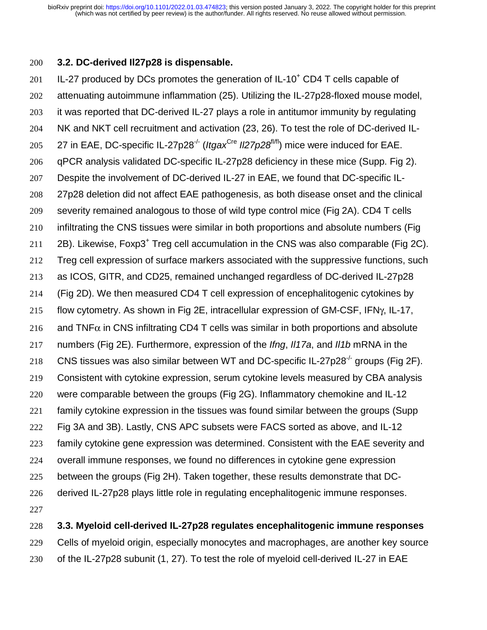#### **3.2. DC-derived Il27p28 is dispensable.**

201 IL-27 produced by DCs promotes the generation of IL-10<sup>+</sup> CD4 T cells capable of attenuating autoimmune inflammation (25). Utilizing the IL-27p28-floxed mouse model, it was reported that DC-derived IL-27 plays a role in antitumor immunity by regulating NK and NKT cell recruitment and activation (23, 26). To test the role of DC-derived IL-205 27 in EAE, DC-specific IL-27p28<sup>-/-</sup> (*Itgax*<sup>Cre</sup> *II27p28<sup>f/fl</sup>)* mice were induced for EAE. qPCR analysis validated DC-specific IL-27p28 deficiency in these mice (Supp. Fig 2). Despite the involvement of DC-derived IL-27 in EAE, we found that DC-specific IL-27p28 deletion did not affect EAE pathogenesis, as both disease onset and the clinical severity remained analogous to those of wild type control mice (Fig 2A). CD4 T cells infiltrating the CNS tissues were similar in both proportions and absolute numbers (Fig  $2B$ ). Likewise, Foxp3<sup>+</sup> Treg cell accumulation in the CNS was also comparable (Fig 2C). Treg cell expression of surface markers associated with the suppressive functions, such as ICOS, GITR, and CD25, remained unchanged regardless of DC-derived IL-27p28 (Fig 2D). We then measured CD4 T cell expression of encephalitogenic cytokines by flow cytometry. As shown in Fig 2E, intracellular expression of GM-CSF, IFNγ, IL-17, 216 and TNF $\alpha$  in CNS infiltrating CD4 T cells was similar in both proportions and absolute numbers (Fig 2E). Furthermore, expression of the *Ifng*, *Il17a*, and *Il1b* mRNA in the 218 CNS tissues was also similar between WT and DC-specific IL-27p28 $^{\prime}$  groups (Fig 2F). Consistent with cytokine expression, serum cytokine levels measured by CBA analysis were comparable between the groups (Fig 2G). Inflammatory chemokine and IL-12 family cytokine expression in the tissues was found similar between the groups (Supp Fig 3A and 3B). Lastly, CNS APC subsets were FACS sorted as above, and IL-12 family cytokine gene expression was determined. Consistent with the EAE severity and overall immune responses, we found no differences in cytokine gene expression between the groups (Fig 2H). Taken together, these results demonstrate that DC-derived IL-27p28 plays little role in regulating encephalitogenic immune responses. 

**3.3. Myeloid cell-derived IL-27p28 regulates encephalitogenic immune responses** 

Cells of myeloid origin, especially monocytes and macrophages, are another key source

of the IL-27p28 subunit (1, 27). To test the role of myeloid cell-derived IL-27 in EAE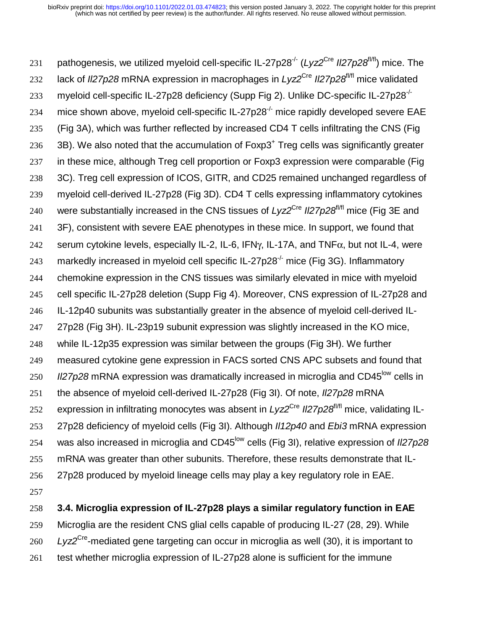231 pathogenesis, we utilized myeloid cell-specific IL-27p28<sup>-/-</sup> (*Lyz*2<sup>Cre</sup> Il27p28<sup>f/fl</sup>) mice. The 232 lack of *II27p28* mRNA expression in macrophages in *Lyz*<sup>Cre</sup> *II27p28*<sup>*fI/fl*</sup> mice validated 233 myeloid cell-specific IL-27p28 deficiency (Supp Fig 2). Unlike DC-specific IL-27p28<sup>-/-</sup> 234 mice shown above, myeloid cell-specific IL-27p28 $^{\prime}$  mice rapidly developed severe EAE 235 (Fig 3A), which was further reflected by increased CD4 T cells infiltrating the CNS (Fig  $236$  3B). We also noted that the accumulation of Foxp3<sup>+</sup> Treg cells was significantly greater 237 in these mice, although Treg cell proportion or Foxp3 expression were comparable (Fig 238 3C). Treg cell expression of ICOS, GITR, and CD25 remained unchanged regardless of 239 myeloid cell-derived IL-27p28 (Fig 3D). CD4 T cells expressing inflammatory cytokines 240 were substantially increased in the CNS tissues of *Lyz*<sup>Cre</sup> II27p28<sup>f/fl</sup> mice (Fig 3E and 241 3F), consistent with severe EAE phenotypes in these mice. In support, we found that 242 serum cytokine levels, especially IL-2, IL-6, IFN $\gamma$ , IL-17A, and TNF $\alpha$ , but not IL-4, were 243 markedly increased in myeloid cell specific IL-27p28 $\frac{1}{2}$  mice (Fig 3G). Inflammatory 244 chemokine expression in the CNS tissues was similarly elevated in mice with myeloid 245 cell specific IL-27p28 deletion (Supp Fig 4). Moreover, CNS expression of IL-27p28 and 246 IL-12p40 subunits was substantially greater in the absence of myeloid cell-derived IL-247 27p28 (Fig 3H). IL-23p19 subunit expression was slightly increased in the KO mice, 248 while IL-12p35 expression was similar between the groups (Fig 3H). We further 249 measured cytokine gene expression in FACS sorted CNS APC subsets and found that 250 *II27p28* mRNA expression was dramatically increased in microglia and CD45<sup>low</sup> cells in 251 the absence of myeloid cell-derived IL-27p28 (Fig 3I). Of note, *Il27p28* mRNA 252 expression in infiltrating monocytes was absent in *Lyz*2<sup>Cre</sup> II27p28<sup>f/fl</sup> mice, validating IL-253 27p28 deficiency of myeloid cells (Fig 3I). Although *Il12p40* and *Ebi3* mRNA expression 254 was also increased in microglia and CD45<sup>low</sup> cells (Fig 3I), relative expression of *II27p28* 255 mRNA was greater than other subunits. Therefore, these results demonstrate that IL-256 27p28 produced by myeloid lineage cells may play a key regulatory role in EAE. 257

258 **3.4. Microglia expression of IL-27p28 plays a similar regulatory function in EAE** 

259 Microglia are the resident CNS glial cells capable of producing IL-27 (28, 29). While

260 Lyz2<sup>Cre</sup>-mediated gene targeting can occur in microglia as well (30), it is important to

261 test whether microglia expression of IL-27p28 alone is sufficient for the immune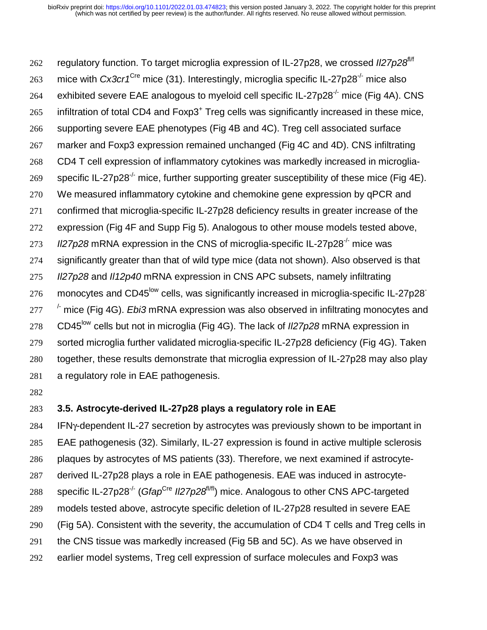262 regulatory function. To target microglia expression of IL-27p28, we crossed Il27p28<sup>fl/f</sup> 263 mice with *Cx3cr1<sup>Cre</sup>* mice (31). Interestingly, microglia specific IL-27p28<sup>-/-</sup> mice also 264 exhibited severe EAE analogous to myeloid cell specific IL-27p28<sup>-/-</sup> mice (Fig 4A). CNS infiltration of total CD4 and Foxp3<sup>+</sup> Treg cells was significantly increased in these mice, supporting severe EAE phenotypes (Fig 4B and 4C). Treg cell associated surface marker and Foxp3 expression remained unchanged (Fig 4C and 4D). CNS infiltrating CD4 T cell expression of inflammatory cytokines was markedly increased in microgliaspecific IL-27p28<sup>-/-</sup> mice, further supporting greater susceptibility of these mice (Fig 4E). 270 We measured inflammatory cytokine and chemokine gene expression by qPCR and confirmed that microglia-specific IL-27p28 deficiency results in greater increase of the expression (Fig 4F and Supp Fig 5). Analogous to other mouse models tested above, *II27p28* mRNA expression in the CNS of microglia-specific IL-27p28<sup>-/-</sup> mice was significantly greater than that of wild type mice (data not shown). Also observed is that *Il27p28* and *Il12p40* mRNA expression in CNS APC subsets, namely infiltrating 276 monocytes and CD45<sup>low</sup> cells, was significantly increased in microglia-specific IL-27p28<sup>-</sup> 277 <sup>/-</sup> mice (Fig 4G). *Ebi3* mRNA expression was also observed in infiltrating monocytes and 278 CD45<sup>low</sup> cells but not in microglia (Fig 4G). The lack of *Il27p28* mRNA expression in sorted microglia further validated microglia-specific IL-27p28 deficiency (Fig 4G). Taken together, these results demonstrate that microglia expression of IL-27p28 may also play a regulatory role in EAE pathogenesis.

### **3.5. Astrocyte-derived IL-27p28 plays a regulatory role in EAE**

IFNγ-dependent IL-27 secretion by astrocytes was previously shown to be important in EAE pathogenesis (32). Similarly, IL-27 expression is found in active multiple sclerosis plaques by astrocytes of MS patients (33). Therefore, we next examined if astrocyte-derived IL-27p28 plays a role in EAE pathogenesis. EAE was induced in astrocyte-288 specific IL-27p28<sup>-/-</sup> (*Gfap<sup>Cre</sup> Il27p28<sup>f//fl</sup>*) mice. Analogous to other CNS APC-targeted models tested above, astrocyte specific deletion of IL-27p28 resulted in severe EAE (Fig 5A). Consistent with the severity, the accumulation of CD4 T cells and Treg cells in the CNS tissue was markedly increased (Fig 5B and 5C). As we have observed in earlier model systems, Treg cell expression of surface molecules and Foxp3 was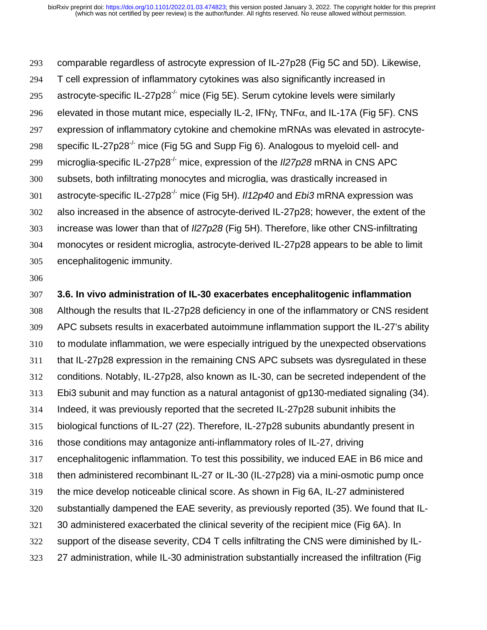comparable regardless of astrocyte expression of IL-27p28 (Fig 5C and 5D). Likewise, T cell expression of inflammatory cytokines was also significantly increased in 295 astrocyte-specific IL-27p28<sup>-/-</sup> mice (Fig 5E). Serum cytokine levels were similarly 296 elevated in those mutant mice, especially IL-2, IFN $\gamma$ , TNF $\alpha$ , and IL-17A (Fig 5F). CNS expression of inflammatory cytokine and chemokine mRNAs was elevated in astrocyte-298 specific IL-27p28<sup>-/-</sup> mice (Fig 5G and Supp Fig 6). Analogous to myeloid cell- and microglia-specific IL-27p28-/- mice, expression of the *Il27p28* mRNA in CNS APC subsets, both infiltrating monocytes and microglia, was drastically increased in 301 astrocyte-specific IL-27p28<sup>-/-</sup> mice (Fig 5H). *II12p40* and *Ebi3* mRNA expression was also increased in the absence of astrocyte-derived IL-27p28; however, the extent of the increase was lower than that of *Il27p28* (Fig 5H). Therefore, like other CNS-infiltrating monocytes or resident microglia, astrocyte-derived IL-27p28 appears to be able to limit encephalitogenic immunity.

**3.6. In vivo administration of IL-30 exacerbates encephalitogenic inflammation** 

Although the results that IL-27p28 deficiency in one of the inflammatory or CNS resident APC subsets results in exacerbated autoimmune inflammation support the IL-27's ability to modulate inflammation, we were especially intrigued by the unexpected observations that IL-27p28 expression in the remaining CNS APC subsets was dysregulated in these conditions. Notably, IL-27p28, also known as IL-30, can be secreted independent of the Ebi3 subunit and may function as a natural antagonist of gp130-mediated signaling (34). Indeed, it was previously reported that the secreted IL-27p28 subunit inhibits the biological functions of IL-27 (22). Therefore, IL-27p28 subunits abundantly present in those conditions may antagonize anti-inflammatory roles of IL-27, driving encephalitogenic inflammation. To test this possibility, we induced EAE in B6 mice and then administered recombinant IL-27 or IL-30 (IL-27p28) via a mini-osmotic pump once the mice develop noticeable clinical score. As shown in Fig 6A, IL-27 administered substantially dampened the EAE severity, as previously reported (35). We found that IL-30 administered exacerbated the clinical severity of the recipient mice (Fig 6A). In support of the disease severity, CD4 T cells infiltrating the CNS were diminished by IL-27 administration, while IL-30 administration substantially increased the infiltration (Fig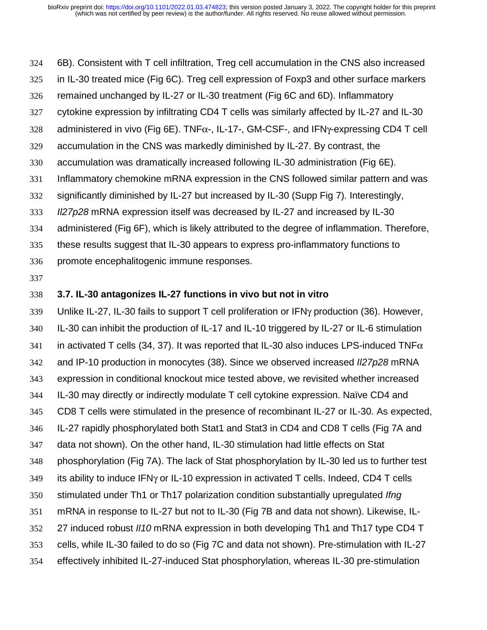6B). Consistent with T cell infiltration, Treg cell accumulation in the CNS also increased

- in IL-30 treated mice (Fig 6C). Treg cell expression of Foxp3 and other surface markers
- remained unchanged by IL-27 or IL-30 treatment (Fig 6C and 6D). Inflammatory
- cytokine expression by infiltrating CD4 T cells was similarly affected by IL-27 and IL-30
- administered in vivo (Fig 6E). TNFα-, IL-17-, GM-CSF-, and IFNγ-expressing CD4 T cell
- accumulation in the CNS was markedly diminished by IL-27. By contrast, the
- accumulation was dramatically increased following IL-30 administration (Fig 6E).
- Inflammatory chemokine mRNA expression in the CNS followed similar pattern and was
- significantly diminished by IL-27 but increased by IL-30 (Supp Fig 7). Interestingly,
- *Il27p28* mRNA expression itself was decreased by IL-27 and increased by IL-30
- administered (Fig 6F), which is likely attributed to the degree of inflammation. Therefore,
- these results suggest that IL-30 appears to express pro-inflammatory functions to
- promote encephalitogenic immune responses.
- 

## **3.7. IL-30 antagonizes IL-27 functions in vivo but not in vitro**

Unlike IL-27, IL-30 fails to support T cell proliferation or IFNγ production (36). However, IL-30 can inhibit the production of IL-17 and IL-10 triggered by IL-27 or IL-6 stimulation 341 in activated T cells (34, 37). It was reported that IL-30 also induces LPS-induced TNF $\alpha$ and IP-10 production in monocytes (38). Since we observed increased *Il27p28* mRNA expression in conditional knockout mice tested above, we revisited whether increased IL-30 may directly or indirectly modulate T cell cytokine expression. Naïve CD4 and CD8 T cells were stimulated in the presence of recombinant IL-27 or IL-30. As expected, IL-27 rapidly phosphorylated both Stat1 and Stat3 in CD4 and CD8 T cells (Fig 7A and data not shown). On the other hand, IL-30 stimulation had little effects on Stat phosphorylation (Fig 7A). The lack of Stat phosphorylation by IL-30 led us to further test its ability to induce IFNγ or IL-10 expression in activated T cells. Indeed, CD4 T cells stimulated under Th1 or Th17 polarization condition substantially upregulated *Ifng* mRNA in response to IL-27 but not to IL-30 (Fig 7B and data not shown). Likewise, IL-27 induced robust *Il10* mRNA expression in both developing Th1 and Th17 type CD4 T cells, while IL-30 failed to do so (Fig 7C and data not shown). Pre-stimulation with IL-27 effectively inhibited IL-27-induced Stat phosphorylation, whereas IL-30 pre-stimulation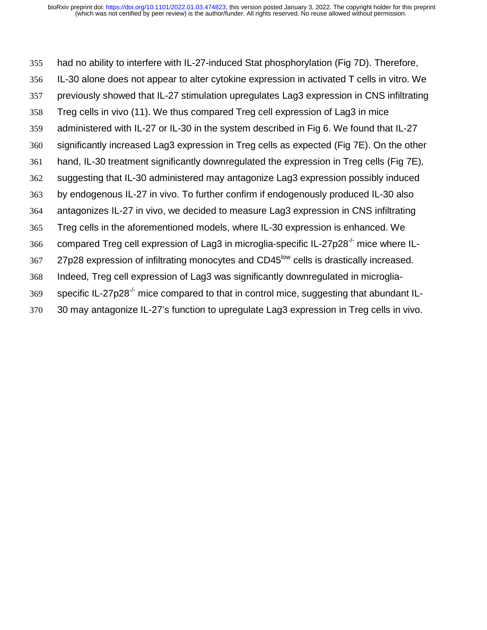had no ability to interfere with IL-27-induced Stat phosphorylation (Fig 7D). Therefore, IL-30 alone does not appear to alter cytokine expression in activated T cells in vitro. We previously showed that IL-27 stimulation upregulates Lag3 expression in CNS infiltrating Treg cells in vivo (11). We thus compared Treg cell expression of Lag3 in mice administered with IL-27 or IL-30 in the system described in Fig 6. We found that IL-27 significantly increased Lag3 expression in Treg cells as expected (Fig 7E). On the other hand, IL-30 treatment significantly downregulated the expression in Treg cells (Fig 7E), suggesting that IL-30 administered may antagonize Lag3 expression possibly induced by endogenous IL-27 in vivo. To further confirm if endogenously produced IL-30 also antagonizes IL-27 in vivo, we decided to measure Lag3 expression in CNS infiltrating Treg cells in the aforementioned models, where IL-30 expression is enhanced. We compared Treg cell expression of Lag3 in microglia-specific IL-27p28<sup>-/-</sup> mice where IL-367 27p28 expression of infiltrating monocytes and CD45<sup>low</sup> cells is drastically increased. Indeed, Treg cell expression of Lag3 was significantly downregulated in microglia- specific IL-27p28<sup>-/-</sup> mice compared to that in control mice, suggesting that abundant IL-30 may antagonize IL-27's function to upregulate Lag3 expression in Treg cells in vivo.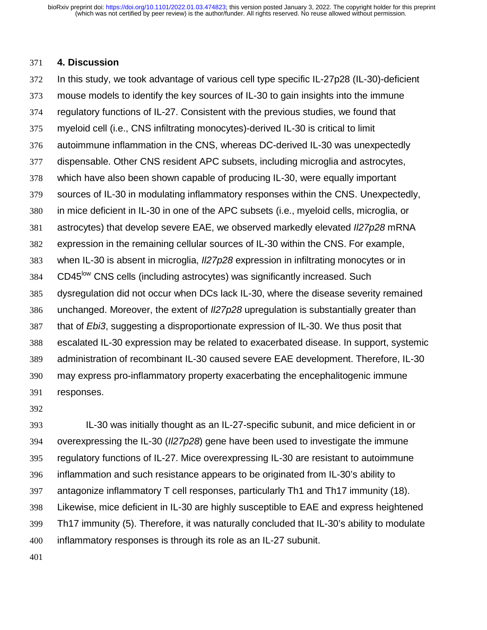#### **4. Discussion**

In this study, we took advantage of various cell type specific IL-27p28 (IL-30)-deficient mouse models to identify the key sources of IL-30 to gain insights into the immune regulatory functions of IL-27. Consistent with the previous studies, we found that myeloid cell (i.e., CNS infiltrating monocytes)-derived IL-30 is critical to limit autoimmune inflammation in the CNS, whereas DC-derived IL-30 was unexpectedly dispensable. Other CNS resident APC subsets, including microglia and astrocytes, which have also been shown capable of producing IL-30, were equally important sources of IL-30 in modulating inflammatory responses within the CNS. Unexpectedly, in mice deficient in IL-30 in one of the APC subsets (i.e., myeloid cells, microglia, or astrocytes) that develop severe EAE, we observed markedly elevated *Il27p28* mRNA expression in the remaining cellular sources of IL-30 within the CNS. For example, when IL-30 is absent in microglia, *Il27p28* expression in infiltrating monocytes or in 384 CD45<sup>low</sup> CNS cells (including astrocytes) was significantly increased. Such dysregulation did not occur when DCs lack IL-30, where the disease severity remained unchanged. Moreover, the extent of *Il27p28* upregulation is substantially greater than that of *Ebi3*, suggesting a disproportionate expression of IL-30. We thus posit that escalated IL-30 expression may be related to exacerbated disease. In support, systemic administration of recombinant IL-30 caused severe EAE development. Therefore, IL-30 may express pro-inflammatory property exacerbating the encephalitogenic immune responses.

IL-30 was initially thought as an IL-27-specific subunit, and mice deficient in or overexpressing the IL-30 (*Il27p28*) gene have been used to investigate the immune regulatory functions of IL-27. Mice overexpressing IL-30 are resistant to autoimmune inflammation and such resistance appears to be originated from IL-30's ability to antagonize inflammatory T cell responses, particularly Th1 and Th17 immunity (18). Likewise, mice deficient in IL-30 are highly susceptible to EAE and express heightened Th17 immunity (5). Therefore, it was naturally concluded that IL-30's ability to modulate inflammatory responses is through its role as an IL-27 subunit.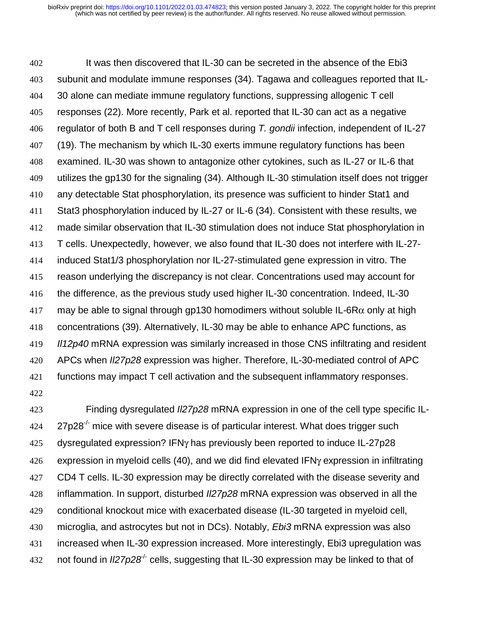It was then discovered that IL-30 can be secreted in the absence of the Ebi3 subunit and modulate immune responses (34). Tagawa and colleagues reported that IL-30 alone can mediate immune regulatory functions, suppressing allogenic T cell responses (22). More recently, Park et al. reported that IL-30 can act as a negative regulator of both B and T cell responses during *T. gondii* infection, independent of IL-27 (19). The mechanism by which IL-30 exerts immune regulatory functions has been examined. IL-30 was shown to antagonize other cytokines, such as IL-27 or IL-6 that utilizes the gp130 for the signaling (34). Although IL-30 stimulation itself does not trigger any detectable Stat phosphorylation, its presence was sufficient to hinder Stat1 and Stat3 phosphorylation induced by IL-27 or IL-6 (34). Consistent with these results, we made similar observation that IL-30 stimulation does not induce Stat phosphorylation in T cells. Unexpectedly, however, we also found that IL-30 does not interfere with IL-27- induced Stat1/3 phosphorylation nor IL-27-stimulated gene expression in vitro. The reason underlying the discrepancy is not clear. Concentrations used may account for the difference, as the previous study used higher IL-30 concentration. Indeed, IL-30 417 may be able to signal through gp130 homodimers without soluble IL-6R $\alpha$  only at high concentrations (39). Alternatively, IL-30 may be able to enhance APC functions, as *Il12p40* mRNA expression was similarly increased in those CNS infiltrating and resident APCs when *Il27p28* expression was higher. Therefore, IL-30-mediated control of APC functions may impact T cell activation and the subsequent inflammatory responses. 

Finding dysregulated *Il27p28* mRNA expression in one of the cell type specific IL-  $27p28^{-1}$  mice with severe disease is of particular interest. What does trigger such 425 dysregulated expression? IFN<sub>Y</sub> has previously been reported to induce IL-27p28 expression in myeloid cells (40), and we did find elevated IFNγ expression in infiltrating CD4 T cells. IL-30 expression may be directly correlated with the disease severity and inflammation. In support, disturbed *Il27p28* mRNA expression was observed in all the conditional knockout mice with exacerbated disease (IL-30 targeted in myeloid cell, microglia, and astrocytes but not in DCs). Notably, *Ebi3* mRNA expression was also increased when IL-30 expression increased. More interestingly, Ebi3 upregulation was not found in  $\frac{1}{27p28}$  cells, suggesting that IL-30 expression may be linked to that of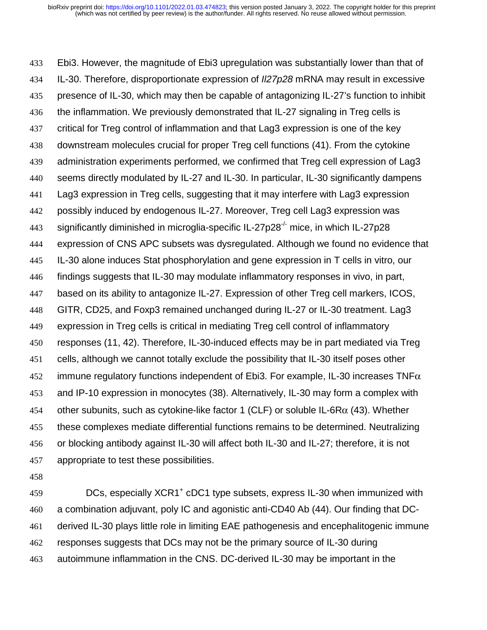Ebi3. However, the magnitude of Ebi3 upregulation was substantially lower than that of IL-30. Therefore, disproportionate expression of *Il27p28* mRNA may result in excessive presence of IL-30, which may then be capable of antagonizing IL-27's function to inhibit the inflammation. We previously demonstrated that IL-27 signaling in Treg cells is critical for Treg control of inflammation and that Lag3 expression is one of the key downstream molecules crucial for proper Treg cell functions (41). From the cytokine administration experiments performed, we confirmed that Treg cell expression of Lag3 seems directly modulated by IL-27 and IL-30. In particular, IL-30 significantly dampens Lag3 expression in Treg cells, suggesting that it may interfere with Lag3 expression possibly induced by endogenous IL-27. Moreover, Treg cell Lag3 expression was 443 significantly diminished in microglia-specific IL-27p28<sup>-/-</sup> mice, in which IL-27p28 expression of CNS APC subsets was dysregulated. Although we found no evidence that IL-30 alone induces Stat phosphorylation and gene expression in T cells in vitro, our findings suggests that IL-30 may modulate inflammatory responses in vivo, in part, based on its ability to antagonize IL-27. Expression of other Treg cell markers, ICOS, GITR, CD25, and Foxp3 remained unchanged during IL-27 or IL-30 treatment. Lag3 expression in Treg cells is critical in mediating Treg cell control of inflammatory responses (11, 42). Therefore, IL-30-induced effects may be in part mediated via Treg cells, although we cannot totally exclude the possibility that IL-30 itself poses other 452 immune regulatory functions independent of Ebi3. For example, IL-30 increases TNF $\alpha$ and IP-10 expression in monocytes (38). Alternatively, IL-30 may form a complex with 454 other subunits, such as cytokine-like factor 1 (CLF) or soluble IL-6R $\alpha$  (43). Whether these complexes mediate differential functions remains to be determined. Neutralizing or blocking antibody against IL-30 will affect both IL-30 and IL-27; therefore, it is not appropriate to test these possibilities.

**DCs, especially XCR1<sup>+</sup> cDC1 type subsets, express IL-30 when immunized with** a combination adjuvant, poly IC and agonistic anti-CD40 Ab (44). Our finding that DC-derived IL-30 plays little role in limiting EAE pathogenesis and encephalitogenic immune responses suggests that DCs may not be the primary source of IL-30 during autoimmune inflammation in the CNS. DC-derived IL-30 may be important in the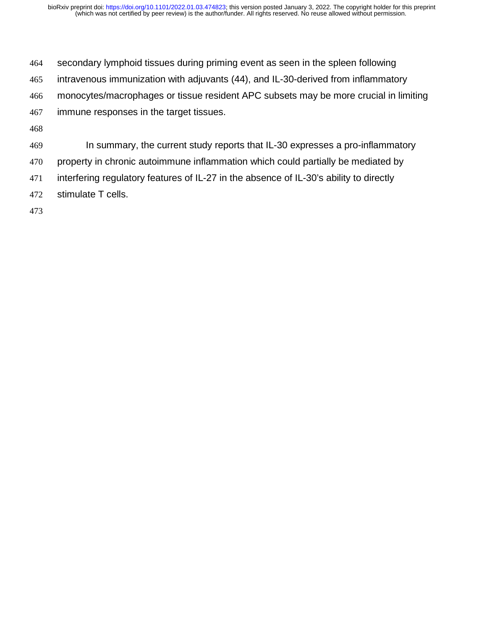- secondary lymphoid tissues during priming event as seen in the spleen following
- intravenous immunization with adjuvants (44), and IL-30-derived from inflammatory
- monocytes/macrophages or tissue resident APC subsets may be more crucial in limiting
- immune responses in the target tissues.
- 
- In summary, the current study reports that IL-30 expresses a pro-inflammatory
- property in chronic autoimmune inflammation which could partially be mediated by
- interfering regulatory features of IL-27 in the absence of IL-30's ability to directly
- stimulate T cells.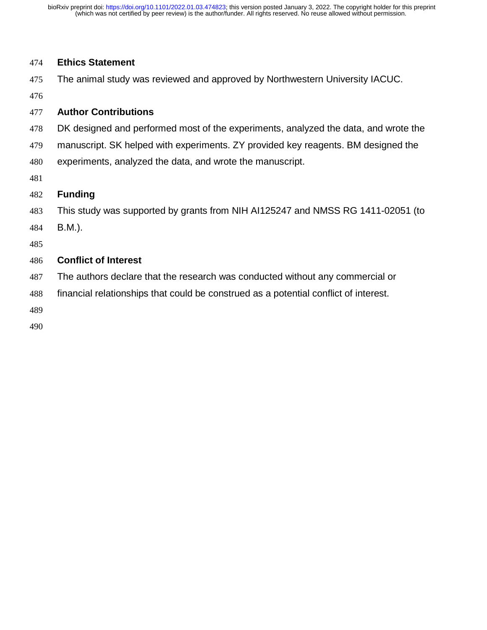#### **Ethics Statement**

The animal study was reviewed and approved by Northwestern University IACUC.

### **Author Contributions**

- DK designed and performed most of the experiments, analyzed the data, and wrote the
- manuscript. SK helped with experiments. ZY provided key reagents. BM designed the
- experiments, analyzed the data, and wrote the manuscript.
- 

## **Funding**

- This study was supported by grants from NIH AI125247 and NMSS RG 1411-02051 (to
- B.M.).
- 

## **Conflict of Interest**

- The authors declare that the research was conducted without any commercial or
- financial relationships that could be construed as a potential conflict of interest.
- 
-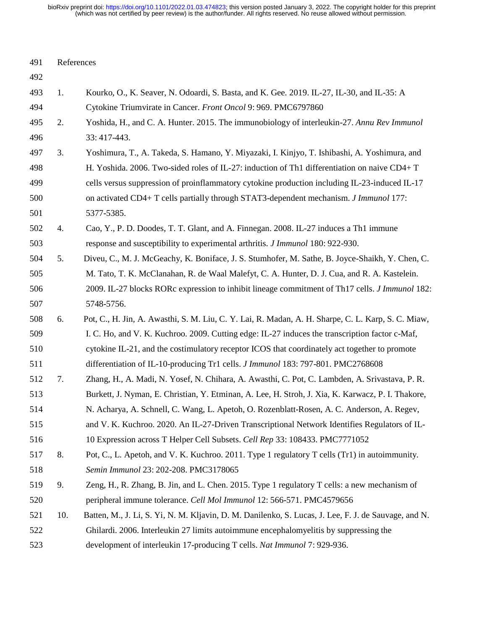| 491 | References |                                                                                                       |  |
|-----|------------|-------------------------------------------------------------------------------------------------------|--|
| 492 |            |                                                                                                       |  |
| 493 | 1.         | Kourko, O., K. Seaver, N. Odoardi, S. Basta, and K. Gee. 2019. IL-27, IL-30, and IL-35: A             |  |
| 494 |            | Cytokine Triumvirate in Cancer. Front Oncol 9: 969. PMC6797860                                        |  |
| 495 | 2.         | Yoshida, H., and C. A. Hunter. 2015. The immunobiology of interleukin-27. Annu Rev Immunol            |  |
| 496 |            | 33: 417-443.                                                                                          |  |
| 497 | 3.         | Yoshimura, T., A. Takeda, S. Hamano, Y. Miyazaki, I. Kinjyo, T. Ishibashi, A. Yoshimura, and          |  |
| 498 |            | H. Yoshida. 2006. Two-sided roles of IL-27: induction of Th1 differentiation on naive CD4+ T          |  |
| 499 |            | cells versus suppression of proinflammatory cytokine production including IL-23-induced IL-17         |  |
| 500 |            | on activated CD4+ T cells partially through STAT3-dependent mechanism. <i>J Immunol</i> 177:          |  |
| 501 |            | 5377-5385.                                                                                            |  |
| 502 | 4.         | Cao, Y., P. D. Doodes, T. T. Glant, and A. Finnegan. 2008. IL-27 induces a Th1 immune                 |  |
| 503 |            | response and susceptibility to experimental arthritis. <i>J Immunol</i> 180: 922-930.                 |  |
| 504 | 5.         | Diveu, C., M. J. McGeachy, K. Boniface, J. S. Stumhofer, M. Sathe, B. Joyce-Shaikh, Y. Chen, C.       |  |
| 505 |            | M. Tato, T. K. McClanahan, R. de Waal Malefyt, C. A. Hunter, D. J. Cua, and R. A. Kastelein.          |  |
| 506 |            | 2009. IL-27 blocks RORc expression to inhibit lineage commitment of Th17 cells. <i>J Immunol</i> 182: |  |
| 507 |            | 5748-5756.                                                                                            |  |
| 508 | 6.         | Pot, C., H. Jin, A. Awasthi, S. M. Liu, C. Y. Lai, R. Madan, A. H. Sharpe, C. L. Karp, S. C. Miaw,    |  |
| 509 |            | I. C. Ho, and V. K. Kuchroo. 2009. Cutting edge: IL-27 induces the transcription factor c-Maf,        |  |
| 510 |            | cytokine IL-21, and the costimulatory receptor ICOS that coordinately act together to promote         |  |
| 511 |            | differentiation of IL-10-producing Tr1 cells. J Immunol 183: 797-801. PMC2768608                      |  |
| 512 | 7.         | Zhang, H., A. Madi, N. Yosef, N. Chihara, A. Awasthi, C. Pot, C. Lambden, A. Srivastava, P. R.        |  |
| 513 |            | Burkett, J. Nyman, E. Christian, Y. Etminan, A. Lee, H. Stroh, J. Xia, K. Karwacz, P. I. Thakore,     |  |
| 514 |            | N. Acharya, A. Schnell, C. Wang, L. Apetoh, O. Rozenblatt-Rosen, A. C. Anderson, A. Regev,            |  |
| 515 |            | and V. K. Kuchroo. 2020. An IL-27-Driven Transcriptional Network Identifies Regulators of IL-         |  |
| 516 |            | 10 Expression across T Helper Cell Subsets. Cell Rep 33: 108433. PMC7771052                           |  |
| 517 | 8.         | Pot, C., L. Apetoh, and V. K. Kuchroo. 2011. Type 1 regulatory T cells (Tr1) in autoimmunity.         |  |
| 518 |            | Semin Immunol 23: 202-208. PMC3178065                                                                 |  |
| 519 | 9.         | Zeng, H., R. Zhang, B. Jin, and L. Chen. 2015. Type 1 regulatory T cells: a new mechanism of          |  |
| 520 |            | peripheral immune tolerance. Cell Mol Immunol 12: 566-571. PMC4579656                                 |  |
| 521 | 10.        | Batten, M., J. Li, S. Yi, N. M. Kljavin, D. M. Danilenko, S. Lucas, J. Lee, F. J. de Sauvage, and N.  |  |
| 522 |            | Ghilardi. 2006. Interleukin 27 limits autoimmune encephalomyelitis by suppressing the                 |  |
| 523 |            | development of interleukin 17-producing T cells. Nat Immunol 7: 929-936.                              |  |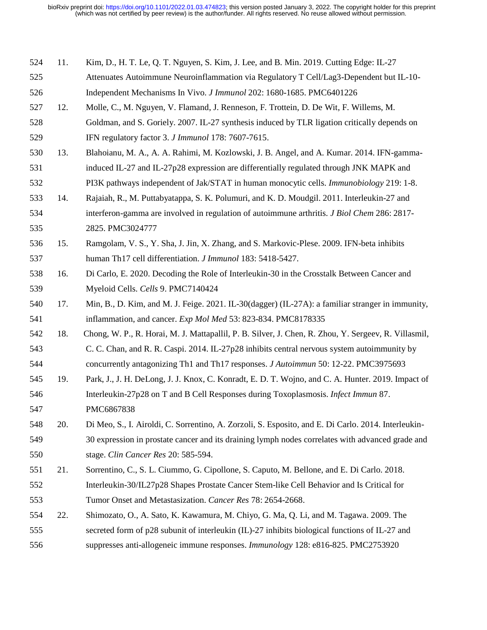| 524 | 11. | Kim, D., H. T. Le, Q. T. Nguyen, S. Kim, J. Lee, and B. Min. 2019. Cutting Edge: IL-27               |
|-----|-----|------------------------------------------------------------------------------------------------------|
| 525 |     | Attenuates Autoimmune Neuroinflammation via Regulatory T Cell/Lag3-Dependent but IL-10-              |
| 526 |     | Independent Mechanisms In Vivo. J Immunol 202: 1680-1685. PMC6401226                                 |
| 527 | 12. | Molle, C., M. Nguyen, V. Flamand, J. Renneson, F. Trottein, D. De Wit, F. Willems, M.                |
| 528 |     | Goldman, and S. Goriely. 2007. IL-27 synthesis induced by TLR ligation critically depends on         |
| 529 |     | IFN regulatory factor 3. J Immunol 178: 7607-7615.                                                   |
| 530 | 13. | Blahoianu, M. A., A. A. Rahimi, M. Kozlowski, J. B. Angel, and A. Kumar. 2014. IFN-gamma-            |
| 531 |     | induced IL-27 and IL-27p28 expression are differentially regulated through JNK MAPK and              |
| 532 |     | PI3K pathways independent of Jak/STAT in human monocytic cells. <i>Immunobiology</i> 219:1-8.        |
| 533 | 14. | Rajaiah, R., M. Puttabyatappa, S. K. Polumuri, and K. D. Moudgil. 2011. Interleukin-27 and           |
| 534 |     | interferon-gamma are involved in regulation of autoimmune arthritis. J Biol Chem 286: 2817-          |
| 535 |     | 2825. PMC3024777                                                                                     |
| 536 | 15. | Ramgolam, V. S., Y. Sha, J. Jin, X. Zhang, and S. Markovic-Plese. 2009. IFN-beta inhibits            |
| 537 |     | human Th17 cell differentiation. <i>J Immunol</i> 183: 5418-5427.                                    |
| 538 | 16. | Di Carlo, E. 2020. Decoding the Role of Interleukin-30 in the Crosstalk Between Cancer and           |
| 539 |     | Myeloid Cells. Cells 9. PMC7140424                                                                   |
| 540 | 17. | Min, B., D. Kim, and M. J. Feige. 2021. IL-30(dagger) (IL-27A): a familiar stranger in immunity,     |
| 541 |     | inflammation, and cancer. Exp Mol Med 53: 823-834. PMC8178335                                        |
| 542 | 18. | Chong, W. P., R. Horai, M. J. Mattapallil, P. B. Silver, J. Chen, R. Zhou, Y. Sergeev, R. Villasmil, |
| 543 |     | C. C. Chan, and R. R. Caspi. 2014. IL-27p28 inhibits central nervous system autoimmunity by          |
| 544 |     | concurrently antagonizing Th1 and Th17 responses. <i>J Autoimmun</i> 50: 12-22. PMC3975693           |
| 545 | 19. | Park, J., J. H. DeLong, J. J. Knox, C. Konradt, E. D. T. Wojno, and C. A. Hunter. 2019. Impact of    |
| 546 |     | Interleukin-27p28 on T and B Cell Responses during Toxoplasmosis. Infect Immun 87.                   |
| 547 |     | PMC6867838                                                                                           |
| 548 | 20. | Di Meo, S., I. Airoldi, C. Sorrentino, A. Zorzoli, S. Esposito, and E. Di Carlo. 2014. Interleukin-  |
| 549 |     | 30 expression in prostate cancer and its draining lymph nodes correlates with advanced grade and     |
| 550 |     | stage. Clin Cancer Res 20: 585-594.                                                                  |
| 551 | 21. | Sorrentino, C., S. L. Ciummo, G. Cipollone, S. Caputo, M. Bellone, and E. Di Carlo. 2018.            |
| 552 |     | Interleukin-30/IL27p28 Shapes Prostate Cancer Stem-like Cell Behavior and Is Critical for            |
| 553 |     | Tumor Onset and Metastasization. Cancer Res 78: 2654-2668.                                           |
| 554 | 22. | Shimozato, O., A. Sato, K. Kawamura, M. Chiyo, G. Ma, Q. Li, and M. Tagawa. 2009. The                |
| 555 |     | secreted form of p28 subunit of interleukin (IL)-27 inhibits biological functions of IL-27 and       |
| 556 |     | suppresses anti-allogeneic immune responses. <i>Immunology</i> 128: e816-825. PMC2753920             |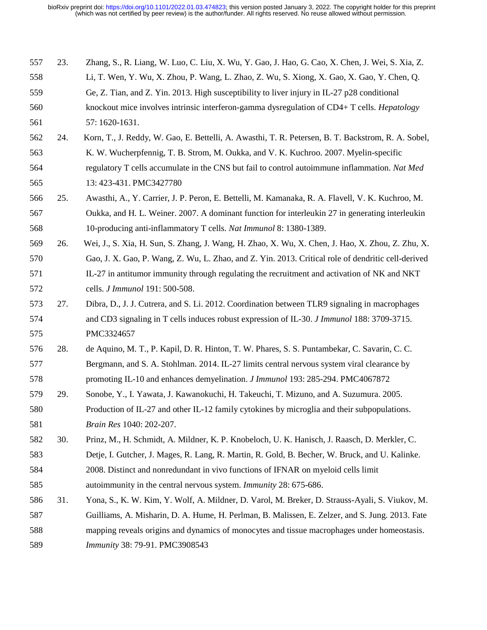| 557 | 23. | Zhang, S., R. Liang, W. Luo, C. Liu, X. Wu, Y. Gao, J. Hao, G. Cao, X. Chen, J. Wei, S. Xia, Z.    |
|-----|-----|----------------------------------------------------------------------------------------------------|
| 558 |     | Li, T. Wen, Y. Wu, X. Zhou, P. Wang, L. Zhao, Z. Wu, S. Xiong, X. Gao, X. Gao, Y. Chen, Q.         |
| 559 |     | Ge, Z. Tian, and Z. Yin. 2013. High susceptibility to liver injury in IL-27 p28 conditional        |
| 560 |     | knockout mice involves intrinsic interferon-gamma dysregulation of CD4+ T cells. <i>Hepatology</i> |
| 561 |     | 57: 1620-1631.                                                                                     |
| 562 | 24. | Korn, T., J. Reddy, W. Gao, E. Bettelli, A. Awasthi, T. R. Petersen, B. T. Backstrom, R. A. Sobel, |
| 563 |     | K. W. Wucherpfennig, T. B. Strom, M. Oukka, and V. K. Kuchroo. 2007. Myelin-specific               |
| 564 |     | regulatory T cells accumulate in the CNS but fail to control autoimmune inflammation. Nat Med      |
| 565 |     | 13: 423-431. PMC3427780                                                                            |
| 566 | 25. | Awasthi, A., Y. Carrier, J. P. Peron, E. Bettelli, M. Kamanaka, R. A. Flavell, V. K. Kuchroo, M.   |
| 567 |     | Oukka, and H. L. Weiner. 2007. A dominant function for interleukin 27 in generating interleukin    |
| 568 |     | 10-producing anti-inflammatory T cells. Nat Immunol 8: 1380-1389.                                  |
| 569 | 26. | Wei, J., S. Xia, H. Sun, S. Zhang, J. Wang, H. Zhao, X. Wu, X. Chen, J. Hao, X. Zhou, Z. Zhu, X.   |
| 570 |     | Gao, J. X. Gao, P. Wang, Z. Wu, L. Zhao, and Z. Yin. 2013. Critical role of dendritic cell-derived |
| 571 |     | IL-27 in antitumor immunity through regulating the recruitment and activation of NK and NKT        |
| 572 |     | cells. J Immunol 191: 500-508.                                                                     |
| 573 | 27. | Dibra, D., J. J. Cutrera, and S. Li. 2012. Coordination between TLR9 signaling in macrophages      |
| 574 |     | and CD3 signaling in T cells induces robust expression of IL-30. <i>J Immunol</i> 188: 3709-3715.  |
| 575 |     | PMC3324657                                                                                         |
| 576 | 28. | de Aquino, M. T., P. Kapil, D. R. Hinton, T. W. Phares, S. S. Puntambekar, C. Savarin, C. C.       |
| 577 |     | Bergmann, and S. A. Stohlman. 2014. IL-27 limits central nervous system viral clearance by         |
| 578 |     | promoting IL-10 and enhances demyelination. <i>J Immunol</i> 193: 285-294. PMC4067872              |
| 579 | 29. | Sonobe, Y., I. Yawata, J. Kawanokuchi, H. Takeuchi, T. Mizuno, and A. Suzumura. 2005.              |
| 580 |     | Production of IL-27 and other IL-12 family cytokines by microglia and their subpopulations.        |
| 581 |     | Brain Res 1040: 202-207.                                                                           |
| 582 | 30. | Prinz, M., H. Schmidt, A. Mildner, K. P. Knobeloch, U. K. Hanisch, J. Raasch, D. Merkler, C.       |
| 583 |     | Detje, I. Gutcher, J. Mages, R. Lang, R. Martin, R. Gold, B. Becher, W. Bruck, and U. Kalinke.     |
| 584 |     | 2008. Distinct and nonredundant in vivo functions of IFNAR on myeloid cells limit                  |
| 585 |     | autoimmunity in the central nervous system. <i>Immunity</i> 28: 675-686.                           |
| 586 | 31. | Yona, S., K. W. Kim, Y. Wolf, A. Mildner, D. Varol, M. Breker, D. Strauss-Ayali, S. Viukov, M.     |
| 587 |     | Guilliams, A. Misharin, D. A. Hume, H. Perlman, B. Malissen, E. Zelzer, and S. Jung. 2013. Fate    |
| 588 |     | mapping reveals origins and dynamics of monocytes and tissue macrophages under homeostasis.        |
| 589 |     | Immunity 38: 79-91. PMC3908543                                                                     |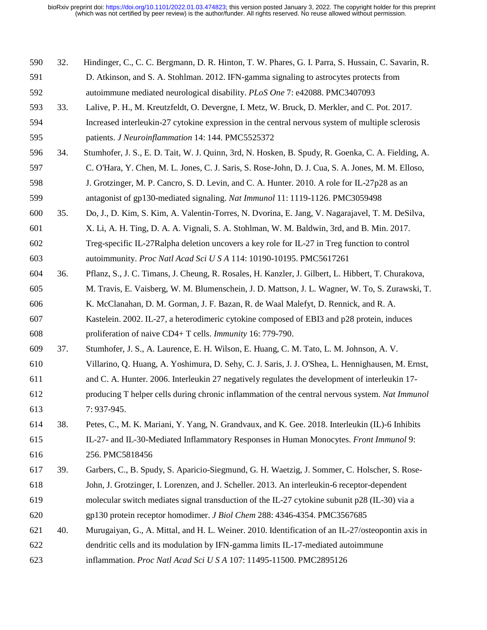| 590 | 32. | Hindinger, C., C. C. Bergmann, D. R. Hinton, T. W. Phares, G. I. Parra, S. Hussain, C. Savarin, R. |
|-----|-----|----------------------------------------------------------------------------------------------------|
| 591 |     | D. Atkinson, and S. A. Stohlman. 2012. IFN-gamma signaling to astrocytes protects from             |
| 592 |     | autoimmune mediated neurological disability. PLoS One 7: e42088. PMC3407093                        |
| 593 | 33. | Lalive, P. H., M. Kreutzfeldt, O. Devergne, I. Metz, W. Bruck, D. Merkler, and C. Pot. 2017.       |
| 594 |     | Increased interleukin-27 cytokine expression in the central nervous system of multiple sclerosis   |
| 595 |     | patients. J Neuroinflammation 14: 144. PMC5525372                                                  |
| 596 | 34. | Stumhofer, J. S., E. D. Tait, W. J. Quinn, 3rd, N. Hosken, B. Spudy, R. Goenka, C. A. Fielding, A. |
| 597 |     | C. O'Hara, Y. Chen, M. L. Jones, C. J. Saris, S. Rose-John, D. J. Cua, S. A. Jones, M. M. Elloso,  |
| 598 |     | J. Grotzinger, M. P. Cancro, S. D. Levin, and C. A. Hunter. 2010. A role for IL-27p28 as an        |
| 599 |     | antagonist of gp130-mediated signaling. Nat Immunol 11: 1119-1126. PMC3059498                      |
| 600 | 35. | Do, J., D. Kim, S. Kim, A. Valentin-Torres, N. Dvorina, E. Jang, V. Nagarajavel, T. M. DeSilva,    |
| 601 |     | X. Li, A. H. Ting, D. A. A. Vignali, S. A. Stohlman, W. M. Baldwin, 3rd, and B. Min. 2017.         |
| 602 |     | Treg-specific IL-27Ralpha deletion uncovers a key role for IL-27 in Treg function to control       |
| 603 |     | autoimmunity. Proc Natl Acad Sci U S A 114: 10190-10195. PMC5617261                                |
| 604 | 36. | Pflanz, S., J. C. Timans, J. Cheung, R. Rosales, H. Kanzler, J. Gilbert, L. Hibbert, T. Churakova, |
| 605 |     | M. Travis, E. Vaisberg, W. M. Blumenschein, J. D. Mattson, J. L. Wagner, W. To, S. Zurawski, T.    |
| 606 |     | K. McClanahan, D. M. Gorman, J. F. Bazan, R. de Waal Malefyt, D. Rennick, and R. A.                |
| 607 |     | Kastelein. 2002. IL-27, a heterodimeric cytokine composed of EBI3 and p28 protein, induces         |
| 608 |     | proliferation of naive CD4+ T cells. <i>Immunity</i> 16: 779-790.                                  |
| 609 | 37. | Stumhofer, J. S., A. Laurence, E. H. Wilson, E. Huang, C. M. Tato, L. M. Johnson, A. V.            |
| 610 |     | Villarino, Q. Huang, A. Yoshimura, D. Sehy, C. J. Saris, J. J. O'Shea, L. Hennighausen, M. Ernst,  |
| 611 |     | and C. A. Hunter. 2006. Interleukin 27 negatively regulates the development of interleukin 17-     |
| 612 |     | producing T helper cells during chronic inflammation of the central nervous system. Nat Immunol    |
| 613 |     | 7:937-945.                                                                                         |
| 614 | 38. | Petes, C., M. K. Mariani, Y. Yang, N. Grandvaux, and K. Gee. 2018. Interleukin (IL)-6 Inhibits     |
| 615 |     | IL-27- and IL-30-Mediated Inflammatory Responses in Human Monocytes. Front Immunol 9:              |
| 616 |     | 256. PMC5818456                                                                                    |
| 617 | 39. | Garbers, C., B. Spudy, S. Aparicio-Siegmund, G. H. Waetzig, J. Sommer, C. Holscher, S. Rose-       |
| 618 |     | John, J. Grotzinger, I. Lorenzen, and J. Scheller. 2013. An interleukin-6 receptor-dependent       |
| 619 |     | molecular switch mediates signal transduction of the IL-27 cytokine subunit p28 (IL-30) via a      |
| 620 |     | gp130 protein receptor homodimer. J Biol Chem 288: 4346-4354. PMC3567685                           |
| 621 | 40. | Murugaiyan, G., A. Mittal, and H. L. Weiner. 2010. Identification of an IL-27/osteopontin axis in  |
| 622 |     | dendritic cells and its modulation by IFN-gamma limits IL-17-mediated autoimmune                   |
| 623 |     | inflammation. Proc Natl Acad Sci U S A 107: 11495-11500. PMC2895126                                |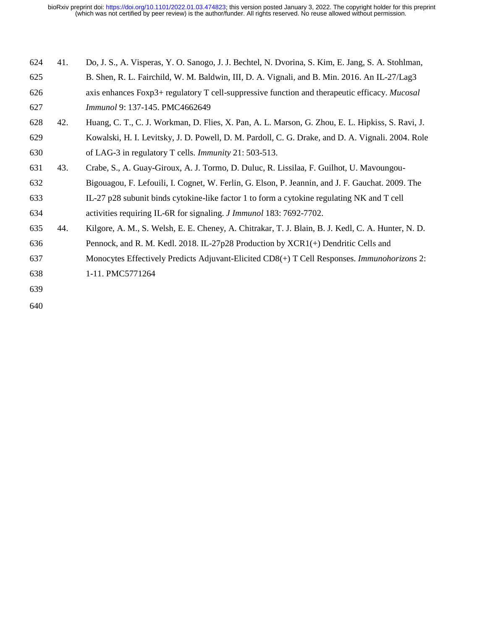| 624 | 41. | Do, J. S., A. Visperas, Y. O. Sanogo, J. J. Bechtel, N. Dvorina, S. Kim, E. Jang, S. A. Stohlman,  |
|-----|-----|----------------------------------------------------------------------------------------------------|
| 625 |     | B. Shen, R. L. Fairchild, W. M. Baldwin, III, D. A. Vignali, and B. Min. 2016. An IL-27/Lag3       |
| 626 |     | axis enhances Foxp3+ regulatory T cell-suppressive function and therapeutic efficacy. Mucosal      |
| 627 |     | Immunol 9: 137-145. PMC4662649                                                                     |
| 628 | 42. | Huang, C. T., C. J. Workman, D. Flies, X. Pan, A. L. Marson, G. Zhou, E. L. Hipkiss, S. Ravi, J.   |
| 629 |     | Kowalski, H. I. Levitsky, J. D. Powell, D. M. Pardoll, C. G. Drake, and D. A. Vignali. 2004. Role  |
| 630 |     | of LAG-3 in regulatory T cells. <i>Immunity</i> 21: 503-513.                                       |
| 631 | 43. | Crabe, S., A. Guay-Giroux, A. J. Tormo, D. Duluc, R. Lissilaa, F. Guilhot, U. Mavoungou-           |
| 632 |     | Bigouagou, F. Lefouili, I. Cognet, W. Ferlin, G. Elson, P. Jeannin, and J. F. Gauchat. 2009. The   |
| 633 |     | IL-27 p28 subunit binds cytokine-like factor 1 to form a cytokine regulating NK and T cell         |
| 634 |     | activities requiring IL-6R for signaling. <i>J Immunol</i> 183: 7692-7702.                         |
| 635 | 44. | Kilgore, A. M., S. Welsh, E. E. Cheney, A. Chitrakar, T. J. Blain, B. J. Kedl, C. A. Hunter, N. D. |
| 636 |     | Pennock, and R. M. Kedl. 2018. IL-27p28 Production by XCR1(+) Dendritic Cells and                  |
| 637 |     | Monocytes Effectively Predicts Adjuvant-Elicited CD8(+) T Cell Responses. Immunohorizons 2:        |
| 638 |     | 1-11. PMC5771264                                                                                   |
| 639 |     |                                                                                                    |
|     |     |                                                                                                    |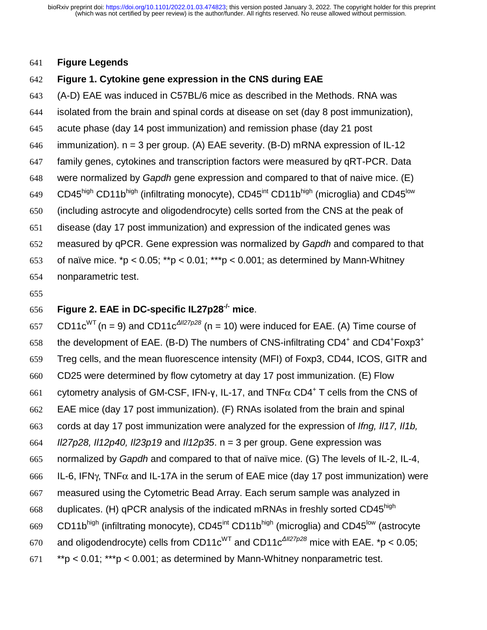#### **Figure Legends**

#### **Figure 1. Cytokine gene expression in the CNS during EAE**

- (A-D) EAE was induced in C57BL/6 mice as described in the Methods. RNA was isolated from the brain and spinal cords at disease on set (day 8 post immunization),
- acute phase (day 14 post immunization) and remission phase (day 21 post
- 646 immunization).  $n = 3$  per group. (A) EAE severity. (B-D) mRNA expression of IL-12
- family genes, cytokines and transcription factors were measured by qRT-PCR. Data
- were normalized by *Gapdh* gene expression and compared to that of naive mice. (E)
- 649 CD45<sup>high</sup> CD11b<sup>high</sup> (infiltrating monocyte), CD45<sup>int</sup> CD11b<sup>high</sup> (microglia) and CD45<sup>low</sup>
- (including astrocyte and oligodendrocyte) cells sorted from the CNS at the peak of
- disease (day 17 post immunization) and expression of the indicated genes was
- measured by qPCR. Gene expression was normalized by *Gapdh* and compared to that
- 653 of naïve mice. \*p < 0.05; \*\*p < 0.01; \*\*\*p < 0.001; as determined by Mann-Whitney
- nonparametric test.
- 

# **Figure 2. EAE in DC-specific IL27p28-/- mice**.

657 CD11c<sup>WT</sup> (n = 9) and CD11c<sup> $\Delta I/27p28$ </sup> (n = 10) were induced for EAE. (A) Time course of 658 the development of EAE. (B-D) The numbers of CNS-infiltrating  $CD4^+$  and  $CD4^+$  Foxp3<sup>+</sup> Treg cells, and the mean fluorescence intensity (MFI) of Foxp3, CD44, ICOS, GITR and CD25 were determined by flow cytometry at day 17 post immunization. (E) Flow 661 cytometry analysis of GM-CSF, IFN-γ, IL-17, and  $TNF\alpha$  CD4<sup>+</sup> T cells from the CNS of EAE mice (day 17 post immunization). (F) RNAs isolated from the brain and spinal cords at day 17 post immunization were analyzed for the expression of *Ifng, Il17, Il1b, Il27p28, Il12p40, Il23p19* and *Il12p35*. n = 3 per group. Gene expression was normalized by *Gapdh* and compared to that of naïve mice. (G) The levels of IL-2, IL-4, 666 IL-6, IFN $\gamma$ , TNF $\alpha$  and IL-17A in the serum of EAE mice (day 17 post immunization) were measured using the Cytometric Bead Array. Each serum sample was analyzed in 668 duplicates. (H) qPCR analysis of the indicated mRNAs in freshly sorted CD45 $^{\text{high}}$ 669 CD11b<sup>high</sup> (infiltrating monocyte), CD45<sup>int</sup> CD11b<sup>high</sup> (microglia) and CD45<sup>low</sup> (astrocyte 670 and oligodendrocyte) cells from CD11c<sup>WT</sup> and CD11c<sup> $\triangle$ Il27p28</sup> mice with EAE. \*p < 0.05; \*\*p < 0.01; \*\*\*p < 0.001; as determined by Mann-Whitney nonparametric test.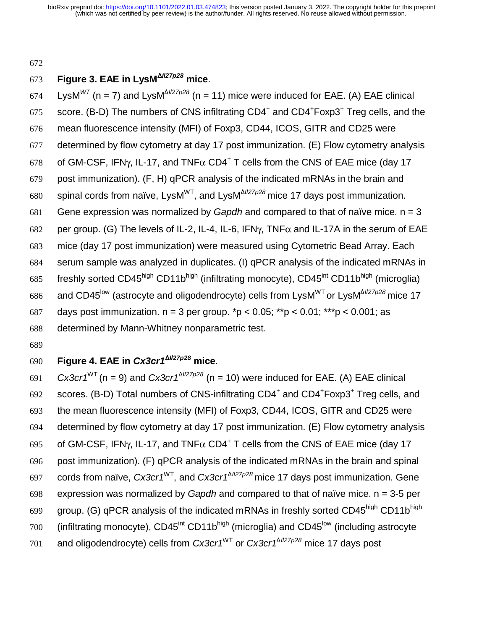#### 672

### **Figure 3. EAE in LysM**Δ*Il27p28* 673 **mice**.

 $674$  LysM<sup>WT</sup> (n = 7) and LysM<sup> $\triangle I/27p28$ </sup> (n = 11) mice were induced for EAE. (A) EAE clinical 675 score. (B-D) The numbers of CNS infiltrating  $CD4^+$  and  $CD4^+$  Foxp3<sup>+</sup> Treg cells, and the 676 mean fluorescence intensity (MFI) of Foxp3, CD44, ICOS, GITR and CD25 were 677 determined by flow cytometry at day 17 post immunization. (E) Flow cytometry analysis 678 of GM-CSF, IFNγ, IL-17, and TNF $\alpha$  CD4<sup>+</sup> T cells from the CNS of EAE mice (day 17 679 post immunization). (F, H) qPCR analysis of the indicated mRNAs in the brain and 680 spinal cords from naïve, LysM<sup>WT</sup>, and LysM<sup> $\triangle$ *II27p28* mice 17 days post immunization.</sup> 681 Gene expression was normalized by *Gapdh* and compared to that of naïve mice. n = 3 682 per group. (G) The levels of IL-2, IL-4, IL-6, IFN $\gamma$ , TNF $\alpha$  and IL-17A in the serum of EAE 683 mice (day 17 post immunization) were measured using Cytometric Bead Array. Each 684 serum sample was analyzed in duplicates. (I) qPCR analysis of the indicated mRNAs in freshly sorted CD45<sup>high</sup> CD11b<sup>high</sup> (infiltrating monocyte), CD45<sup>int</sup> CD11b<sup>high</sup> (microglia) 686 and CD45<sup>low</sup> (astrocyte and oligodendrocyte) cells from LysM<sup>WT</sup> or LysM<sup>Δ//27*p*28</sup> mice 17 687 days post immunization.  $n = 3$  per group.  $np < 0.05$ ;  $p > 0.01$ ;  $p > 0.001$ ; as 688 determined by Mann-Whitney nonparametric test.

689

# **Figure 4. EAE in** *Cx3cr1*Δ*Il27p28* 690 **mice**.

*G*<sup>91</sup> *Cx3cr1*<sup>WT</sup> (n = 9) and *Cx3cr1*<sup> $\triangle$ *Il27p28* (n = 10) were induced for EAE. (A) EAE clinical</sup> 692 scores. (B-D) Total numbers of CNS-infiltrating CD4<sup>+</sup> and CD4<sup>+</sup>Foxp3<sup>+</sup> Treg cells, and 693 the mean fluorescence intensity (MFI) of Foxp3, CD44, ICOS, GITR and CD25 were 694 determined by flow cytometry at day 17 post immunization. (E) Flow cytometry analysis 695 of GM-CSF, IFNγ, IL-17, and TNF $\alpha$  CD4<sup>+</sup> T cells from the CNS of EAE mice (day 17 696 post immunization). (F) qPCR analysis of the indicated mRNAs in the brain and spinal cords from naïve, *Cx3cr1*WT, and *Cx3cr1*Δ*Il27p28* 697 mice 17 days post immunization. Gene 698 expression was normalized by *Gapdh* and compared to that of naïve mice. n = 3-5 per group. (G) qPCR analysis of the indicated mRNAs in freshly sorted CD45<sup>high</sup> CD11b<sup>high</sup> 700 (infiltrating monocyte), CD45<sup>int</sup> CD11b<sup>high</sup> (microglia) and CD45<sup>low</sup> (including astrocyte and oligodendrocyte) cells from *Cx3cr1*WT or *Cx3cr1*Δ*Il27p28* 701 mice 17 days post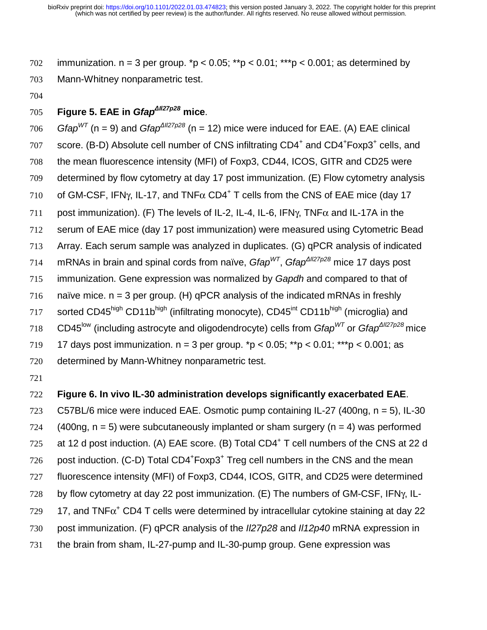702 immunization.  $n = 3$  per group.  $np < 0.05$ ;  $\binom{np}{p} < 0.01$ ;  $\binom{p}{p} < 0.001$ ; as determined by 703 Mann-Whitney nonparametric test.

704

## **Figure 5. EAE in** *Gfap*Δ*Il27p28* 705 **mice**.

*T*<sub>06</sub> *Gfap*<sup>*WT*</sup> (n = 9) and *Gfap*<sup> $\triangle$ *II27p28* (n = 12) mice were induced for EAE. (A) EAE clinical</sup> 707 score. (B-D) Absolute cell number of CNS infiltrating CD4<sup>+</sup> and CD4<sup>+</sup>Foxp3<sup>+</sup> cells, and 708 the mean fluorescence intensity (MFI) of Foxp3, CD44, ICOS, GITR and CD25 were 709 determined by flow cytometry at day 17 post immunization. (E) Flow cytometry analysis 710 of GM-CSF, IFN $\gamma$ , IL-17, and TNF $\alpha$  CD4<sup>+</sup> T cells from the CNS of EAE mice (day 17 711 post immunization). (F) The levels of IL-2, IL-4, IL-6, IFN $\gamma$ , TNF $\alpha$  and IL-17A in the 712 serum of EAE mice (day 17 post immunization) were measured using Cytometric Bead 713 Array. Each serum sample was analyzed in duplicates. (G) qPCR analysis of indicated 714 mRNAs in brain and spinal cords from naïve, *Gfap<sup>WT</sup>*, *Gfap<sup>ΔII27p28*</sup> mice 17 days post 715 immunization. Gene expression was normalized by *Gapdh* and compared to that of 716 naïve mice.  $n = 3$  per group. (H) qPCR analysis of the indicated mRNAs in freshly 717 sorted CD45<sup>high</sup> CD11b<sup>high</sup> (infiltrating monocyte), CD45<sup>int</sup> CD11b<sup>high</sup> (microglia) and T18 CD45<sup>low</sup> (including astrocyte and oligodendrocyte) cells from *Gfap<sup>WT</sup>* or *Gfap*<sup>Δ*II27p28* mice</sup> 719 17 days post immunization.  $n = 3$  per group.  $p > 0.05$ ;  $p > 0.01$ ;  $p > 0.001$ ; as

- 720 determined by Mann-Whitney nonparametric test.
- 721

### 722 **Figure 6. In vivo IL-30 administration develops significantly exacerbated EAE**.

723 C57BL/6 mice were induced EAE. Osmotic pump containing IL-27 (400ng, n = 5), IL-30

724 (400ng,  $n = 5$ ) were subcutaneously implanted or sham surgery ( $n = 4$ ) was performed

725 at 12 d post induction. (A) EAE score. (B) Total CD4<sup>+</sup> T cell numbers of the CNS at 22 d

 $726$  post induction. (C-D) Total CD4<sup>+</sup>Foxp3<sup>+</sup> Treg cell numbers in the CNS and the mean

- 727 fluorescence intensity (MFI) of Foxp3, CD44, ICOS, GITR, and CD25 were determined 728 by flow cytometry at day 22 post immunization. (E) The numbers of GM-CSF, IFNγ, IL-
- $17.729$  17, and TNF $\alpha^+$  CD4 T cells were determined by intracellular cytokine staining at day 22
- 730 post immunization. (F) qPCR analysis of the *Il27p28* and *Il12p40* mRNA expression in
- 731 the brain from sham, IL-27-pump and IL-30-pump group. Gene expression was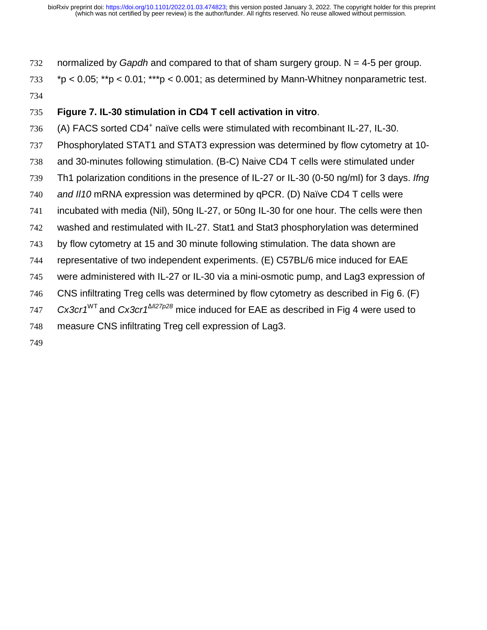normalized by *Gapdh* and compared to that of sham surgery group. N = 4-5 per group.

\*p < 0.05; \*\*p < 0.01; \*\*\*p < 0.001; as determined by Mann-Whitney nonparametric test.

## **Figure 7. IL-30 stimulation in CD4 T cell activation in vitro**.

- $(4)$  FACS sorted CD4<sup>+</sup> naïve cells were stimulated with recombinant IL-27, IL-30.
- Phosphorylated STAT1 and STAT3 expression was determined by flow cytometry at 10-
- and 30-minutes following stimulation. (B-C) Naive CD4 T cells were stimulated under
- Th1 polarization conditions in the presence of IL-27 or IL-30 (0-50 ng/ml) for 3 days. *Ifng*
- *and Il10* mRNA expression was determined by qPCR. (D) Naïve CD4 T cells were
- incubated with media (Nil), 50ng IL-27, or 50ng IL-30 for one hour. The cells were then
- washed and restimulated with IL-27. Stat1 and Stat3 phosphorylation was determined
- by flow cytometry at 15 and 30 minute following stimulation. The data shown are
- representative of two independent experiments. (E) C57BL/6 mice induced for EAE
- were administered with IL-27 or IL-30 via a mini-osmotic pump, and Lag3 expression of
- CNS infiltrating Treg cells was determined by flow cytometry as described in Fig 6. (F)
- *Cx3cr1*WT and *Cx3cr1*Δ*Il27p28* mice induced for EAE as described in Fig 4 were used to
- measure CNS infiltrating Treg cell expression of Lag3.
-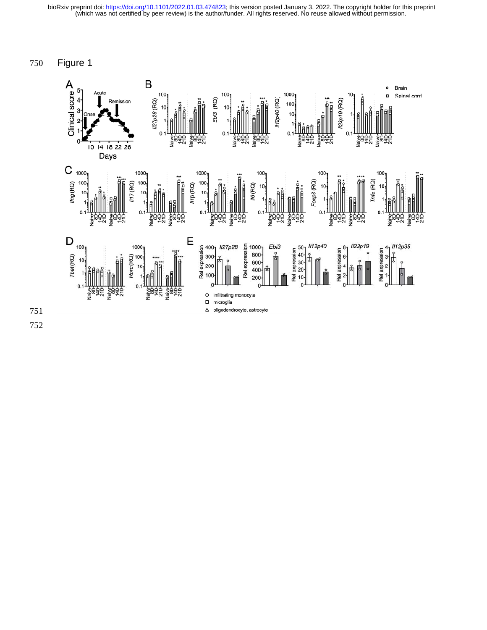750 Figure 1

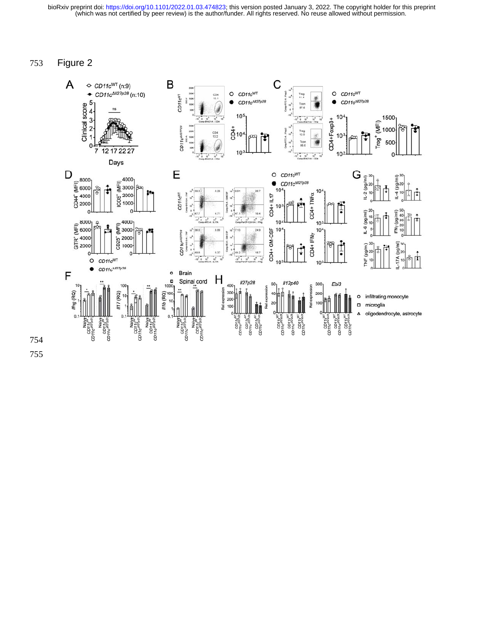753 Figure 2

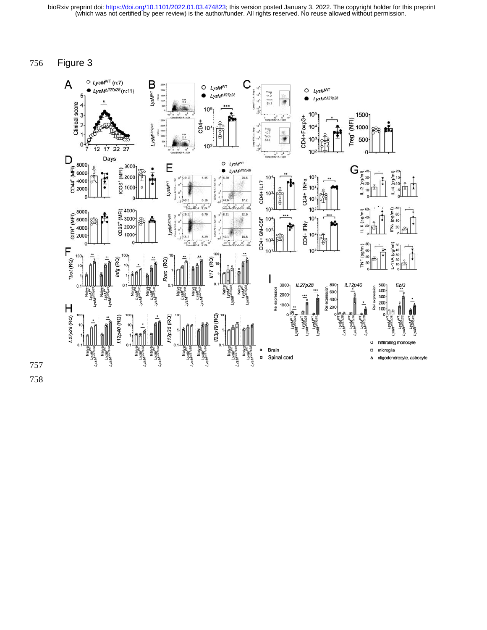756 Figure 3

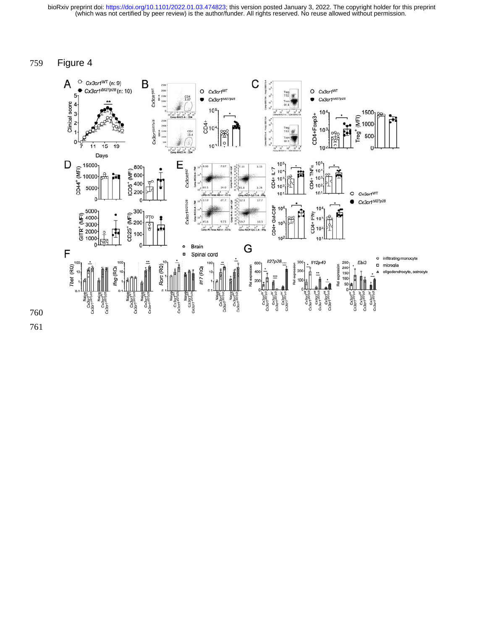### 759 Figure 4

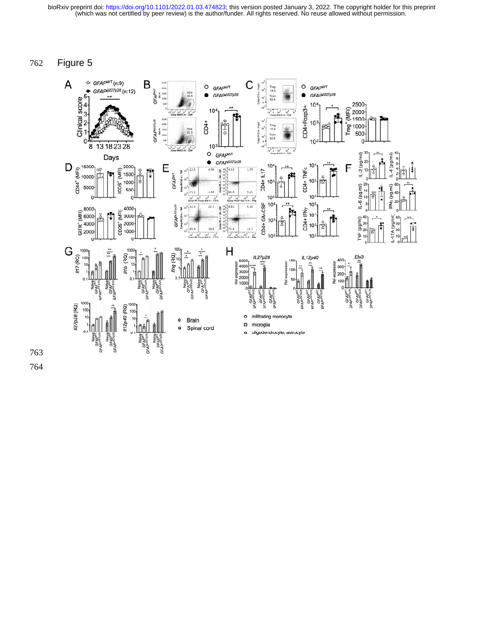762 Figure 5

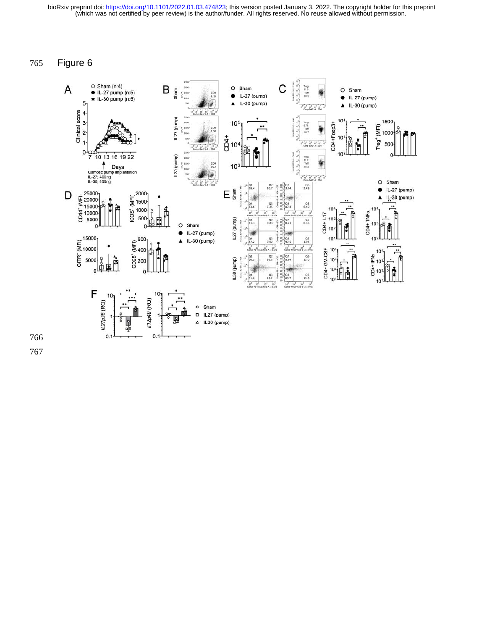765 Figure 6